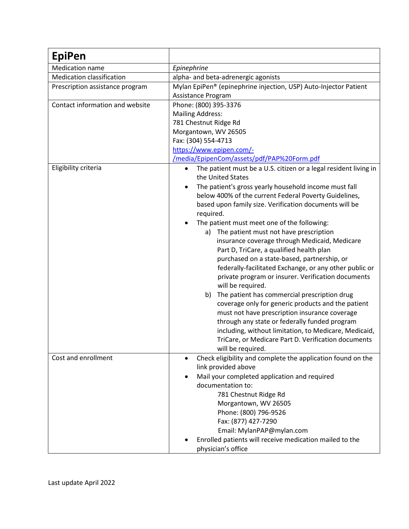| <b>EpiPen</b>                    |                                                                                                    |
|----------------------------------|----------------------------------------------------------------------------------------------------|
| <b>Medication name</b>           | Epinephrine                                                                                        |
| <b>Medication classification</b> | alpha- and beta-adrenergic agonists                                                                |
| Prescription assistance program  | Mylan EpiPen® (epinephrine injection, USP) Auto-Injector Patient                                   |
|                                  | Assistance Program                                                                                 |
| Contact information and website  | Phone: (800) 395-3376                                                                              |
|                                  | <b>Mailing Address:</b>                                                                            |
|                                  | 781 Chestnut Ridge Rd                                                                              |
|                                  | Morgantown, WV 26505                                                                               |
|                                  | Fax: (304) 554-4713                                                                                |
|                                  | https://www.epipen.com/-                                                                           |
|                                  | /media/EpipenCom/assets/pdf/PAP%20Form.pdf                                                         |
| Eligibility criteria             | The patient must be a U.S. citizen or a legal resident living in<br>$\bullet$<br>the United States |
|                                  | The patient's gross yearly household income must fall                                              |
|                                  | below 400% of the current Federal Poverty Guidelines,                                              |
|                                  | based upon family size. Verification documents will be                                             |
|                                  | required.                                                                                          |
|                                  | The patient must meet one of the following:<br>٠                                                   |
|                                  | The patient must not have prescription<br>a)                                                       |
|                                  | insurance coverage through Medicaid, Medicare                                                      |
|                                  | Part D, TriCare, a qualified health plan                                                           |
|                                  | purchased on a state-based, partnership, or                                                        |
|                                  | federally-facilitated Exchange, or any other public or                                             |
|                                  | private program or insurer. Verification documents<br>will be required.                            |
|                                  | The patient has commercial prescription drug<br>b)                                                 |
|                                  | coverage only for generic products and the patient                                                 |
|                                  | must not have prescription insurance coverage                                                      |
|                                  | through any state or federally funded program                                                      |
|                                  | including, without limitation, to Medicare, Medicaid,                                              |
|                                  | TriCare, or Medicare Part D. Verification documents                                                |
|                                  | will be required.                                                                                  |
| Cost and enrollment              | Check eligibility and complete the application found on the<br>$\bullet$                           |
|                                  | link provided above                                                                                |
|                                  | Mail your completed application and required                                                       |
|                                  | documentation to:                                                                                  |
|                                  | 781 Chestnut Ridge Rd<br>Morgantown, WV 26505                                                      |
|                                  | Phone: (800) 796-9526                                                                              |
|                                  | Fax: (877) 427-7290                                                                                |
|                                  | Email: MylanPAP@mylan.com                                                                          |
|                                  | Enrolled patients will receive medication mailed to the                                            |
|                                  | physician's office                                                                                 |